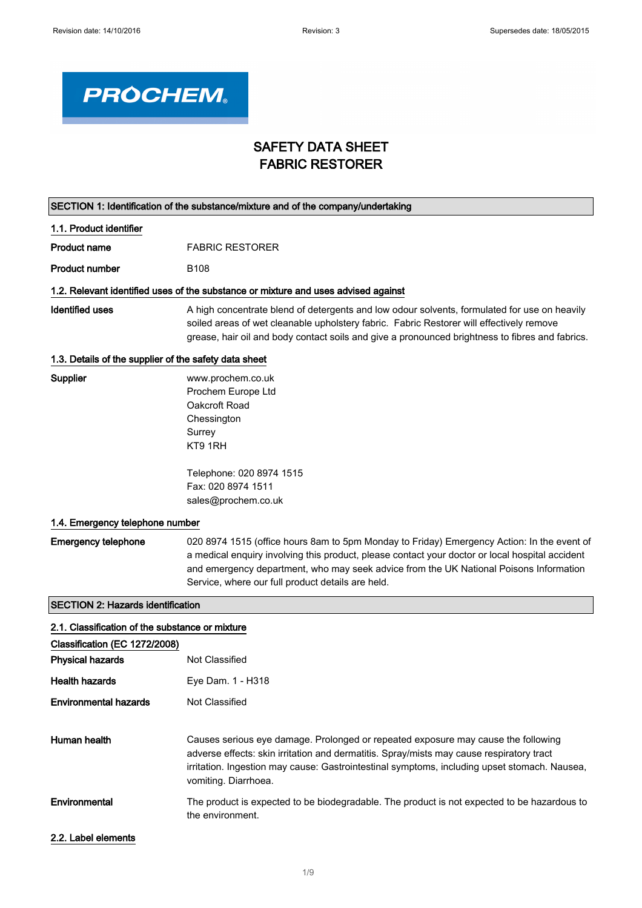

# SAFETY DATA SHEET FABRIC RESTORER

|                                                       | SECTION 1: Identification of the substance/mixture and of the company/undertaking                                                                                                                                                                                                                                                            |
|-------------------------------------------------------|----------------------------------------------------------------------------------------------------------------------------------------------------------------------------------------------------------------------------------------------------------------------------------------------------------------------------------------------|
| 1.1. Product identifier                               |                                                                                                                                                                                                                                                                                                                                              |
| <b>Product name</b>                                   | <b>FABRIC RESTORER</b>                                                                                                                                                                                                                                                                                                                       |
| <b>Product number</b>                                 | B <sub>108</sub>                                                                                                                                                                                                                                                                                                                             |
|                                                       | 1.2. Relevant identified uses of the substance or mixture and uses advised against                                                                                                                                                                                                                                                           |
| <b>Identified uses</b>                                | A high concentrate blend of detergents and low odour solvents, formulated for use on heavily<br>soiled areas of wet cleanable upholstery fabric. Fabric Restorer will effectively remove<br>grease, hair oil and body contact soils and give a pronounced brightness to fibres and fabrics.                                                  |
| 1.3. Details of the supplier of the safety data sheet |                                                                                                                                                                                                                                                                                                                                              |
| Supplier                                              | www.prochem.co.uk<br>Prochem Europe Ltd<br>Oakcroft Road<br>Chessington<br>Surrey<br>KT9 1RH<br>Telephone: 020 8974 1515                                                                                                                                                                                                                     |
|                                                       | Fax: 020 8974 1511<br>sales@prochem.co.uk                                                                                                                                                                                                                                                                                                    |
| 1.4. Emergency telephone number                       |                                                                                                                                                                                                                                                                                                                                              |
| <b>Emergency telephone</b>                            | 020 8974 1515 (office hours 8am to 5pm Monday to Friday) Emergency Action: In the event of<br>a medical enquiry involving this product, please contact your doctor or local hospital accident<br>and emergency department, who may seek advice from the UK National Poisons Information<br>Service, where our full product details are held. |
| <b>SECTION 2: Hazards identification</b>              |                                                                                                                                                                                                                                                                                                                                              |
| 2.1. Classification of the substance or mixture       |                                                                                                                                                                                                                                                                                                                                              |
| Classification (EC 1272/2008)                         |                                                                                                                                                                                                                                                                                                                                              |
| <b>Physical hazards</b>                               | Not Classified                                                                                                                                                                                                                                                                                                                               |
| <b>Health hazards</b>                                 | Eye Dam. 1 - H318                                                                                                                                                                                                                                                                                                                            |
| <b>Environmental hazards</b>                          | <b>Not Classified</b>                                                                                                                                                                                                                                                                                                                        |
| Human health                                          | Causes serious eye damage. Prolonged or repeated exposure may cause the following<br>adverse effects: skin irritation and dermatitis. Spray/mists may cause respiratory tract<br>irritation. Ingestion may cause: Gastrointestinal symptoms, including upset stomach. Nausea,<br>vomiting. Diarrhoea.                                        |
| Environmental                                         | The product is expected to be biodegradable. The product is not expected to be hazardous to<br>the environment.                                                                                                                                                                                                                              |
| 2.2. Label elements                                   |                                                                                                                                                                                                                                                                                                                                              |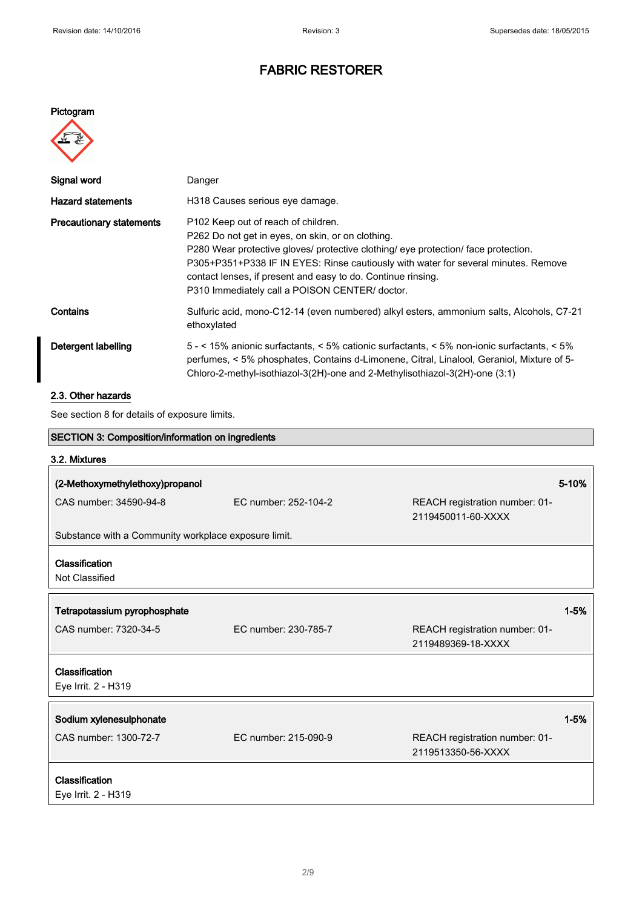#### Pictogram



| Signal word                     | Danger                                                                                                                                                                                                                                                                                                                                                                                             |
|---------------------------------|----------------------------------------------------------------------------------------------------------------------------------------------------------------------------------------------------------------------------------------------------------------------------------------------------------------------------------------------------------------------------------------------------|
| <b>Hazard statements</b>        | H318 Causes serious eye damage.                                                                                                                                                                                                                                                                                                                                                                    |
| <b>Precautionary statements</b> | P <sub>102</sub> Keep out of reach of children.<br>P262 Do not get in eyes, on skin, or on clothing.<br>P280 Wear protective gloves/ protective clothing/ eye protection/ face protection.<br>P305+P351+P338 IF IN EYES: Rinse cautiously with water for several minutes. Remove<br>contact lenses, if present and easy to do. Continue rinsing.<br>P310 Immediately call a POISON CENTER/ doctor. |
| Contains                        | Sulfuric acid, mono-C12-14 (even numbered) alkyl esters, ammonium salts, Alcohols, C7-21<br>ethoxylated                                                                                                                                                                                                                                                                                            |
| Detergent labelling             | 5 - < 15% anionic surfactants, < 5% cationic surfactants, < 5% non-ionic surfactants, < 5%<br>perfumes, < 5% phosphates, Contains d-Limonene, Citral, Linalool, Geraniol, Mixture of 5-<br>Chloro-2-methyl-isothiazol-3(2H)-one and 2-Methylisothiazol-3(2H)-one (3:1)                                                                                                                             |

## 2.3. Other hazards

See section 8 for details of exposure limits.

| SECTION 3: Composition/information on ingredients    |                      |                                                      |          |
|------------------------------------------------------|----------------------|------------------------------------------------------|----------|
| 3.2. Mixtures                                        |                      |                                                      |          |
| (2-Methoxymethylethoxy)propanol                      |                      |                                                      | 5-10%    |
| CAS number: 34590-94-8                               | EC number: 252-104-2 | REACH registration number: 01-<br>2119450011-60-XXXX |          |
| Substance with a Community workplace exposure limit. |                      |                                                      |          |
| Classification<br>Not Classified                     |                      |                                                      |          |
| Tetrapotassium pyrophosphate                         |                      |                                                      | $1 - 5%$ |
| CAS number: 7320-34-5                                | EC number: 230-785-7 | REACH registration number: 01-<br>2119489369-18-XXXX |          |
| Classification<br>Eye Irrit. 2 - H319                |                      |                                                      |          |
| Sodium xylenesulphonate                              |                      |                                                      | $1 - 5%$ |
| CAS number: 1300-72-7                                | EC number: 215-090-9 | REACH registration number: 01-<br>2119513350-56-XXXX |          |
| Classification                                       |                      |                                                      |          |
| Eye Irrit. 2 - H319                                  |                      |                                                      |          |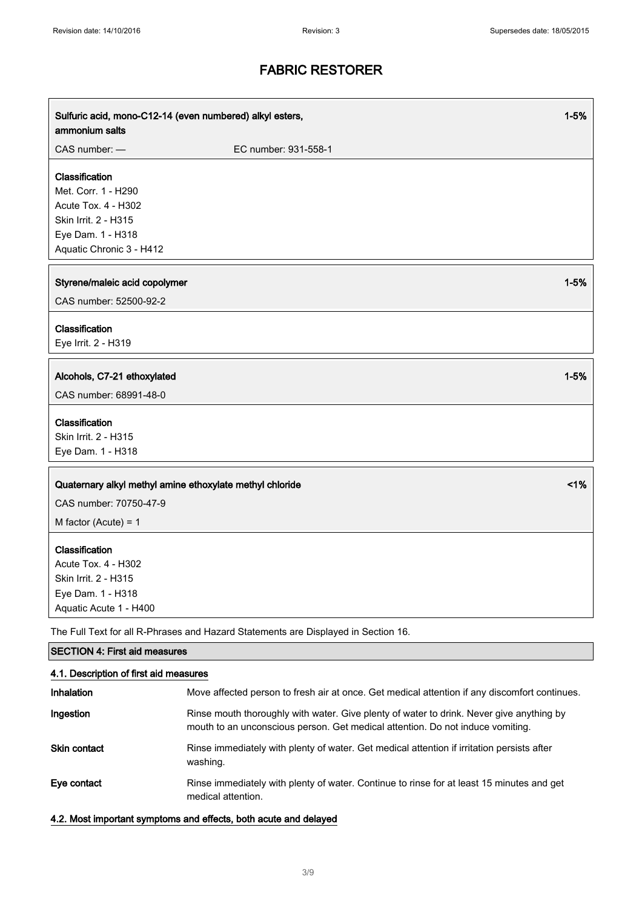| Sulfuric acid, mono-C12-14 (even numbered) alkyl esters,<br>ammonium salts                                                            |                                                                                    | $1 - 5%$ |
|---------------------------------------------------------------------------------------------------------------------------------------|------------------------------------------------------------------------------------|----------|
| CAS number: -                                                                                                                         | EC number: 931-558-1                                                               |          |
| Classification<br>Met. Corr. 1 - H290<br>Acute Tox. 4 - H302<br>Skin Irrit. 2 - H315<br>Eye Dam. 1 - H318<br>Aquatic Chronic 3 - H412 |                                                                                    |          |
| Styrene/maleic acid copolymer<br>CAS number: 52500-92-2                                                                               |                                                                                    | $1 - 5%$ |
| Classification<br>Eye Irrit. 2 - H319                                                                                                 |                                                                                    |          |
| Alcohols, C7-21 ethoxylated<br>CAS number: 68991-48-0                                                                                 |                                                                                    | $1 - 5%$ |
| Classification<br>Skin Irrit. 2 - H315<br>Eye Dam. 1 - H318                                                                           |                                                                                    |          |
| Quaternary alkyl methyl amine ethoxylate methyl chloride<br>CAS number: 70750-47-9<br>M factor (Acute) = $1$                          |                                                                                    | 1%       |
| Classification<br>Acute Tox. 4 - H302<br>Skin Irrit. 2 - H315<br>Eye Dam. 1 - H318<br>Aquatic Acute 1 - H400                          |                                                                                    |          |
|                                                                                                                                       | The Full Text for all R-Phrases and Hazard Statements are Displayed in Section 16. |          |
| <b>SECTION 4: First aid measures</b>                                                                                                  |                                                                                    |          |
| 4.1. Description of first aid measures                                                                                                |                                                                                    |          |
|                                                                                                                                       |                                                                                    |          |

| Inhalation          | Move affected person to fresh air at once. Get medical attention if any discomfort continues.                                                                              |
|---------------------|----------------------------------------------------------------------------------------------------------------------------------------------------------------------------|
| Ingestion           | Rinse mouth thoroughly with water. Give plenty of water to drink. Never give anything by<br>mouth to an unconscious person. Get medical attention. Do not induce vomiting. |
| <b>Skin contact</b> | Rinse immediately with plenty of water. Get medical attention if irritation persists after<br>washing.                                                                     |
| Eye contact         | Rinse immediately with plenty of water. Continue to rinse for at least 15 minutes and get<br>medical attention.                                                            |

#### 4.2. Most important symptoms and effects, both acute and delayed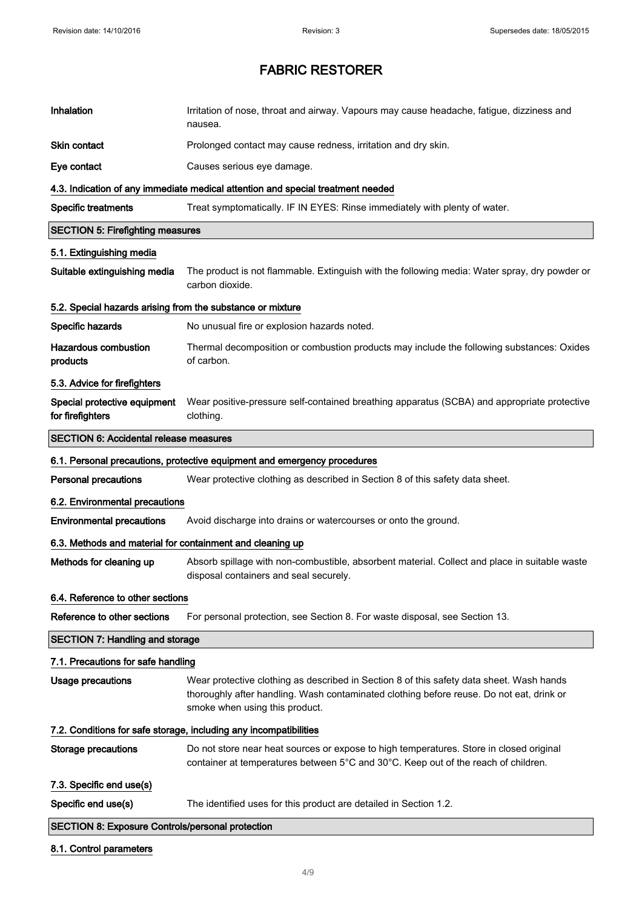| Inhalation                                                        | Irritation of nose, throat and airway. Vapours may cause headache, fatigue, dizziness and<br>nausea.                                                                                                                   |  |  |
|-------------------------------------------------------------------|------------------------------------------------------------------------------------------------------------------------------------------------------------------------------------------------------------------------|--|--|
| <b>Skin contact</b>                                               | Prolonged contact may cause redness, irritation and dry skin.                                                                                                                                                          |  |  |
| Eye contact                                                       | Causes serious eye damage.                                                                                                                                                                                             |  |  |
|                                                                   | 4.3. Indication of any immediate medical attention and special treatment needed                                                                                                                                        |  |  |
| <b>Specific treatments</b>                                        | Treat symptomatically. IF IN EYES: Rinse immediately with plenty of water.                                                                                                                                             |  |  |
| <b>SECTION 5: Firefighting measures</b>                           |                                                                                                                                                                                                                        |  |  |
| 5.1. Extinguishing media                                          |                                                                                                                                                                                                                        |  |  |
| Suitable extinguishing media                                      | The product is not flammable. Extinguish with the following media: Water spray, dry powder or<br>carbon dioxide.                                                                                                       |  |  |
| 5.2. Special hazards arising from the substance or mixture        |                                                                                                                                                                                                                        |  |  |
| Specific hazards                                                  | No unusual fire or explosion hazards noted.                                                                                                                                                                            |  |  |
| <b>Hazardous combustion</b><br>products                           | Thermal decomposition or combustion products may include the following substances: Oxides<br>of carbon.                                                                                                                |  |  |
| 5.3. Advice for firefighters                                      |                                                                                                                                                                                                                        |  |  |
| Special protective equipment<br>for firefighters                  | Wear positive-pressure self-contained breathing apparatus (SCBA) and appropriate protective<br>clothing.                                                                                                               |  |  |
| <b>SECTION 6: Accidental release measures</b>                     |                                                                                                                                                                                                                        |  |  |
|                                                                   | 6.1. Personal precautions, protective equipment and emergency procedures                                                                                                                                               |  |  |
| <b>Personal precautions</b>                                       | Wear protective clothing as described in Section 8 of this safety data sheet.                                                                                                                                          |  |  |
| 6.2. Environmental precautions                                    |                                                                                                                                                                                                                        |  |  |
| <b>Environmental precautions</b>                                  | Avoid discharge into drains or watercourses or onto the ground.                                                                                                                                                        |  |  |
| 6.3. Methods and material for containment and cleaning up         |                                                                                                                                                                                                                        |  |  |
| Methods for cleaning up                                           | Absorb spillage with non-combustible, absorbent material. Collect and place in suitable waste<br>disposal containers and seal securely.                                                                                |  |  |
| 6.4. Reference to other sections                                  |                                                                                                                                                                                                                        |  |  |
| Reference to other sections                                       | For personal protection, see Section 8. For waste disposal, see Section 13.                                                                                                                                            |  |  |
| <b>SECTION 7: Handling and storage</b>                            |                                                                                                                                                                                                                        |  |  |
| 7.1. Precautions for safe handling                                |                                                                                                                                                                                                                        |  |  |
| <b>Usage precautions</b>                                          | Wear protective clothing as described in Section 8 of this safety data sheet. Wash hands<br>thoroughly after handling. Wash contaminated clothing before reuse. Do not eat, drink or<br>smoke when using this product. |  |  |
| 7.2. Conditions for safe storage, including any incompatibilities |                                                                                                                                                                                                                        |  |  |
| <b>Storage precautions</b>                                        | Do not store near heat sources or expose to high temperatures. Store in closed original<br>container at temperatures between 5°C and 30°C. Keep out of the reach of children.                                          |  |  |
| 7.3. Specific end use(s)                                          |                                                                                                                                                                                                                        |  |  |
| Specific end use(s)                                               | The identified uses for this product are detailed in Section 1.2.                                                                                                                                                      |  |  |
| <b>SECTION 8: Exposure Controls/personal protection</b>           |                                                                                                                                                                                                                        |  |  |
| 8.1. Control parameters                                           |                                                                                                                                                                                                                        |  |  |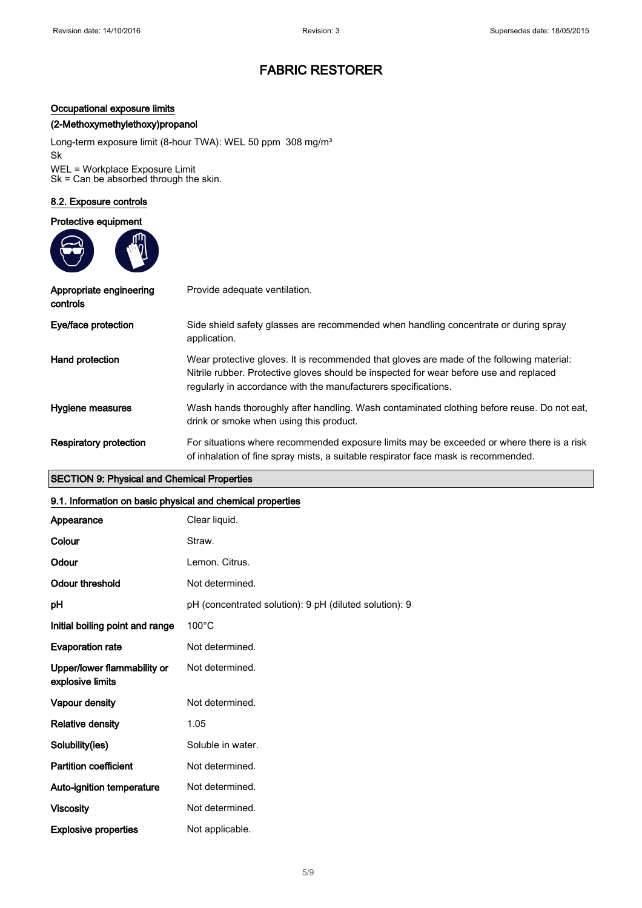#### Occupational exposure limits

#### (2-Methoxymethylethoxy)propanol

Long-term exposure limit (8-hour TWA): WEL 50 ppm 308 mg/m<sup>3</sup> Sk WEL = Workplace Exposure Limit Sk = Can be absorbed through the skin.

#### 8.2. Exposure controls

#### Protective equipment



| Appropriate engineering<br>controls | Provide adequate ventilation.                                                                                                                                                                                                                         |
|-------------------------------------|-------------------------------------------------------------------------------------------------------------------------------------------------------------------------------------------------------------------------------------------------------|
| Eye/face protection                 | Side shield safety glasses are recommended when handling concentrate or during spray<br>application.                                                                                                                                                  |
| Hand protection                     | Wear protective gloves. It is recommended that gloves are made of the following material:<br>Nitrile rubber. Protective gloves should be inspected for wear before use and replaced<br>regularly in accordance with the manufacturers specifications. |
| Hygiene measures                    | Wash hands thoroughly after handling. Wash contaminated clothing before reuse. Do not eat,<br>drink or smoke when using this product.                                                                                                                 |
| <b>Respiratory protection</b>       | For situations where recommended exposure limits may be exceeded or where there is a risk<br>of inhalation of fine spray mists, a suitable respirator face mask is recommended.                                                                       |

#### SECTION 9: Physical and Chemical Properties

#### 9.1. Information on basic physical and chemical properties

| Appearance                                      | Clear liquid.                                          |
|-------------------------------------------------|--------------------------------------------------------|
| Colour                                          | Straw.                                                 |
| Odour                                           | Lemon. Citrus.                                         |
| <b>Odour threshold</b>                          | Not determined.                                        |
| рH                                              | pH (concentrated solution): 9 pH (diluted solution): 9 |
| Initial boiling point and range                 | $100^{\circ}$ C                                        |
| <b>Evaporation rate</b>                         | Not determined.                                        |
| Upper/lower flammability or<br>explosive limits | Not determined.                                        |
| Vapour density                                  | Not determined.                                        |
| <b>Relative density</b>                         | 1.05                                                   |
| Solubility(ies)                                 | Soluble in water.                                      |
| <b>Partition coefficient</b>                    | Not determined.                                        |
| Auto-ignition temperature                       | Not determined.                                        |
| <b>Viscosity</b>                                | Not determined.                                        |
| <b>Explosive properties</b>                     | Not applicable.                                        |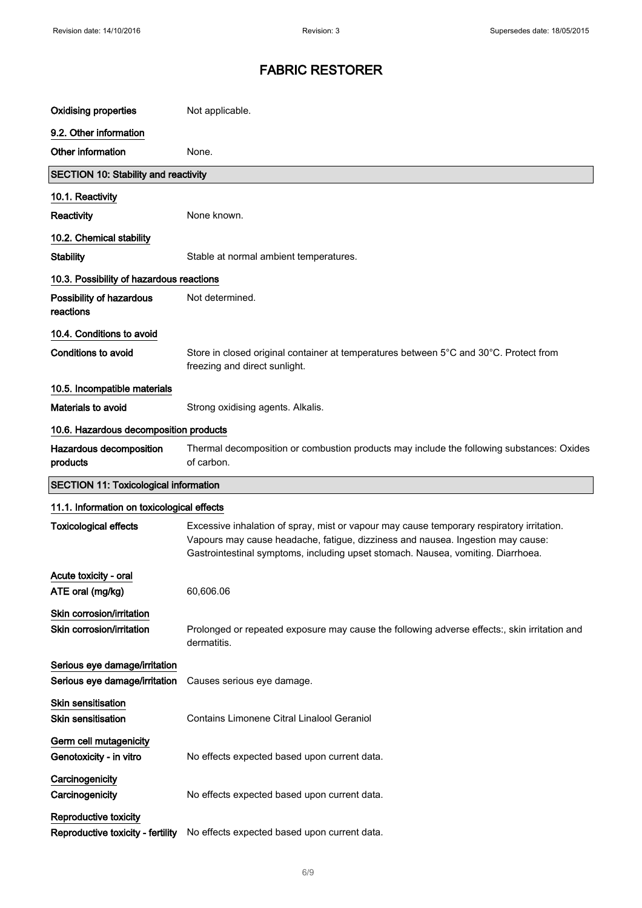| <b>Oxidising properties</b>                            | Not applicable.                                                                                                                                                                                                                                                  |  |  |  |
|--------------------------------------------------------|------------------------------------------------------------------------------------------------------------------------------------------------------------------------------------------------------------------------------------------------------------------|--|--|--|
| 9.2. Other information                                 |                                                                                                                                                                                                                                                                  |  |  |  |
| Other information                                      | None.                                                                                                                                                                                                                                                            |  |  |  |
| <b>SECTION 10: Stability and reactivity</b>            |                                                                                                                                                                                                                                                                  |  |  |  |
| 10.1. Reactivity                                       |                                                                                                                                                                                                                                                                  |  |  |  |
| Reactivity                                             | None known.                                                                                                                                                                                                                                                      |  |  |  |
| 10.2. Chemical stability                               |                                                                                                                                                                                                                                                                  |  |  |  |
| <b>Stability</b>                                       | Stable at normal ambient temperatures.                                                                                                                                                                                                                           |  |  |  |
| 10.3. Possibility of hazardous reactions               |                                                                                                                                                                                                                                                                  |  |  |  |
| Possibility of hazardous<br>reactions                  | Not determined.                                                                                                                                                                                                                                                  |  |  |  |
| 10.4. Conditions to avoid                              |                                                                                                                                                                                                                                                                  |  |  |  |
| <b>Conditions to avoid</b>                             | Store in closed original container at temperatures between 5°C and 30°C. Protect from<br>freezing and direct sunlight.                                                                                                                                           |  |  |  |
| 10.5. Incompatible materials                           |                                                                                                                                                                                                                                                                  |  |  |  |
| Materials to avoid                                     | Strong oxidising agents. Alkalis.                                                                                                                                                                                                                                |  |  |  |
| 10.6. Hazardous decomposition products                 |                                                                                                                                                                                                                                                                  |  |  |  |
| Hazardous decomposition<br>products                    | Thermal decomposition or combustion products may include the following substances: Oxides<br>of carbon.                                                                                                                                                          |  |  |  |
|                                                        |                                                                                                                                                                                                                                                                  |  |  |  |
| <b>SECTION 11: Toxicological information</b>           |                                                                                                                                                                                                                                                                  |  |  |  |
| 11.1. Information on toxicological effects             |                                                                                                                                                                                                                                                                  |  |  |  |
| <b>Toxicological effects</b>                           | Excessive inhalation of spray, mist or vapour may cause temporary respiratory irritation.<br>Vapours may cause headache, fatigue, dizziness and nausea. Ingestion may cause:<br>Gastrointestinal symptoms, including upset stomach. Nausea, vomiting. Diarrhoea. |  |  |  |
| Acute toxicity - oral                                  |                                                                                                                                                                                                                                                                  |  |  |  |
| ATE oral (mg/kg)                                       | 60,606.06                                                                                                                                                                                                                                                        |  |  |  |
| Skin corrosion/irritation<br>Skin corrosion/irritation | Prolonged or repeated exposure may cause the following adverse effects:, skin irritation and<br>dermatitis.                                                                                                                                                      |  |  |  |
| Serious eye damage/irritation                          |                                                                                                                                                                                                                                                                  |  |  |  |
| Serious eye damage/irritation                          | Causes serious eye damage.                                                                                                                                                                                                                                       |  |  |  |
| <b>Skin sensitisation</b><br><b>Skin sensitisation</b> | Contains Limonene Citral Linalool Geraniol                                                                                                                                                                                                                       |  |  |  |
| Germ cell mutagenicity<br>Genotoxicity - in vitro      | No effects expected based upon current data.                                                                                                                                                                                                                     |  |  |  |
| Carcinogenicity<br>Carcinogenicity                     | No effects expected based upon current data.                                                                                                                                                                                                                     |  |  |  |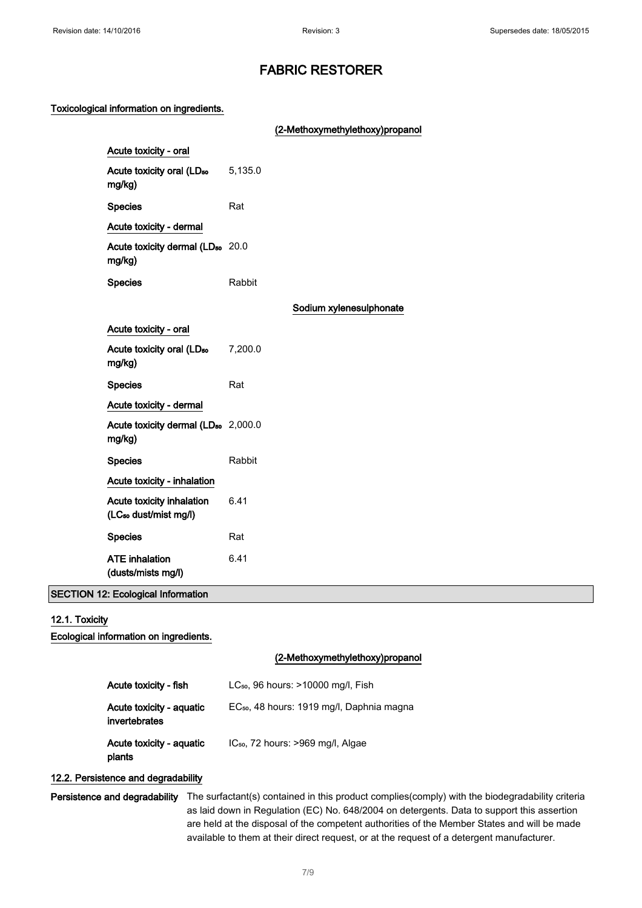(2-Methoxymethylethoxy)propanol

#### Toxicological information on ingredients.

|                                                                |        | $\ldots$                |
|----------------------------------------------------------------|--------|-------------------------|
| Acute toxicity - oral                                          |        |                         |
| Acute toxicity oral (LD <sub>50</sub> 5,135.0<br>mg/kg)        |        |                         |
| <b>Species</b>                                                 | Rat    |                         |
| Acute toxicity - dermal                                        |        |                         |
| Acute toxicity dermal (LD <sub>50</sub> 20.0<br>mg/kg)         |        |                         |
| <b>Species</b>                                                 | Rabbit |                         |
|                                                                |        | Sodium xylenesulphonate |
| Acute toxicity - oral                                          |        |                         |
| Acute toxicity oral (LD <sub>50</sub> 7,200.0<br>mg/kg)        |        |                         |
| <b>Species</b>                                                 | Rat    |                         |
| Acute toxicity - dermal                                        |        |                         |
| Acute toxicity dermal (LD <sub>50</sub> 2,000.0<br>mg/kg)      |        |                         |
| <b>Species</b>                                                 | Rabbit |                         |
| Acute toxicity - inhalation                                    |        |                         |
| Acute toxicity inhalation<br>(LC <sub>50</sub> dust/mist mg/l) | 6.41   |                         |
| <b>Species</b>                                                 | Rat    |                         |
| <b>ATE</b> inhalation<br>(dusts/mists mg/l)                    | 6.41   |                         |

#### SECTION 12: Ecological Information

#### 12.1. Toxicity

Ecological information on ingredients.

#### (2-Methoxymethylethoxy)propanol

| Acute toxicity - fish                     | LC <sub>50</sub> , 96 hours: >10000 mg/l, Fish        |
|-------------------------------------------|-------------------------------------------------------|
| Acute toxicity - aguatic<br>invertebrates | EC <sub>50</sub> , 48 hours: 1919 mg/l, Daphnia magna |
| Acute toxicity - aquatic<br>plants        | $IC_{50}$ , 72 hours: >969 mg/l, Algae                |

## 12.2. Persistence and degradability

Persistence and degradability The surfactant(s) contained in this product complies(comply) with the biodegradability criteria as laid down in Regulation (EC) No. 648/2004 on detergents. Data to support this assertion are held at the disposal of the competent authorities of the Member States and will be made available to them at their direct request, or at the request of a detergent manufacturer.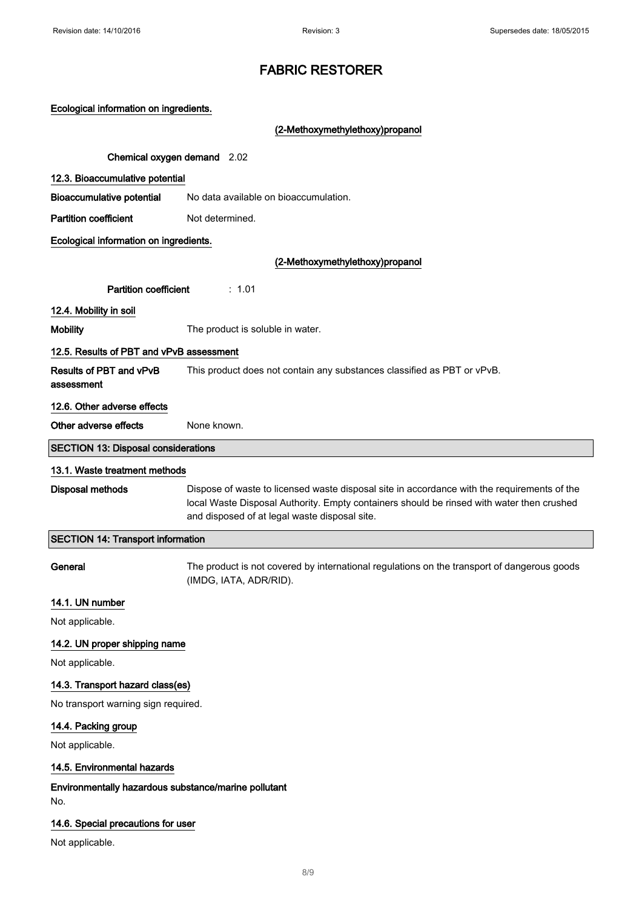|  | Ecological information on ingredients. |
|--|----------------------------------------|
|  |                                        |

(2-Methoxymethylethoxy)propanol

Chemical oxygen demand 2.02

#### 12.3. Bioaccumulative potential

Bioaccumulative potential No data available on bioaccumulation.

Partition coefficient Not determined.

### Ecological information on ingredients.

(2-Methoxymethylethoxy)propanol

Partition coefficient : 1.01

12.4. Mobility in soil

Mobility The product is soluble in water.

## 12.5. Results of PBT and vPvB assessment

Results of PBT and vPvB assessment This product does not contain any substances classified as PBT or vPvB.

# 12.6. Other adverse effects

Other adverse effects None known.

#### SECTION 13: Disposal considerations

#### 13.1. Waste treatment methods

Disposal methods Dispose of waste to licensed waste disposal site in accordance with the requirements of the local Waste Disposal Authority. Empty containers should be rinsed with water then crushed and disposed of at legal waste disposal site.

#### SECTION 14: Transport information

General The product is not covered by international regulations on the transport of dangerous goods (IMDG, IATA, ADR/RID).

#### 14.1. UN number

Not applicable.

#### 14.2. UN proper shipping name

Not applicable.

#### 14.3. Transport hazard class(es)

No transport warning sign required.

#### 14.4. Packing group

Not applicable.

#### 14.5. Environmental hazards

Environmentally hazardous substance/marine pollutant No.

#### 14.6. Special precautions for user

Not applicable.